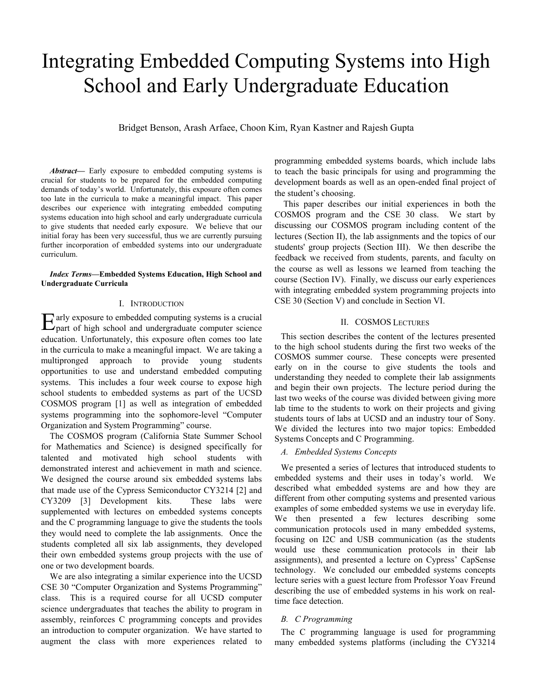# Integrating Embedded Computing Systems into High School and Early Undergraduate Education

Bridget Benson, Arash Arfaee, Choon Kim, Ryan Kastner and Rajesh Gupta

Abstract— Early exposure to embedded computing systems is crucial for students to be prepared for the embedded computing demands of today's world. Unfortunately, this exposure often comes too late in the curricula to make a meaningful impact. This paper describes our experience with integrating embedded computing systems education into high school and early undergraduate curricula to give students that needed early exposure. We believe that our initial foray has been very successful, thus we are currently pursuing further incorporation of embedded systems into our undergraduate curriculum.

#### *Index Terms***—Embedded Systems Education, High School and Undergraduate Curricula**

# I. INTRODUCTION

arly exposure to embedded computing systems is a crucial  $E$ arly exposure to embedded computing systems is a crucial part of high school and undergraduate computer science education. Unfortunately, this exposure often comes too late in the curricula to make a meaningful impact. We are taking a multipronged approach to provide young students opportunities to use and understand embedded computing systems. This includes a four week course to expose high school students to embedded systems as part of the UCSD COSMOS program [1] as well as integration of embedded systems programming into the sophomore-level "Computer Organization and System Programming" course.

The COSMOS program (California State Summer School for Mathematics and Science) is designed specifically for talented and motivated high school students with demonstrated interest and achievement in math and science. We designed the course around six embedded systems labs that made use of the Cypress Semiconductor CY3214 [2] and CY3209 [3] Development kits. These labs were supplemented with lectures on embedded systems concepts and the C programming language to give the students the tools they would need to complete the lab assignments. Once the students completed all six lab assignments, they developed their own embedded systems group projects with the use of one or two development boards.

We are also integrating a similar experience into the UCSD CSE 30 "Computer Organization and Systems Programming" class. This is a required course for all UCSD computer science undergraduates that teaches the ability to program in assembly, reinforces C programming concepts and provides an introduction to computer organization. We have started to augment the class with more experiences related to

programming embedded systems boards, which include labs to teach the basic principals for using and programming the development boards as well as an open-ended final project of the student's choosing.

This paper describes our initial experiences in both the COSMOS program and the CSE 30 class. We start by discussing our COSMOS program including content of the lectures (Section II), the lab assignments and the topics of our students' group projects (Section III). We then describe the feedback we received from students, parents, and faculty on the course as well as lessons we learned from teaching the course (Section IV). Finally, we discuss our early experiences with integrating embedded system programming projects into CSE 30 (Section V) and conclude in Section VI.

#### II. COSMOS LECTURES

This section describes the content of the lectures presented to the high school students during the first two weeks of the COSMOS summer course. These concepts were presented early on in the course to give students the tools and understanding they needed to complete their lab assignments and begin their own projects. The lecture period during the last two weeks of the course was divided between giving more lab time to the students to work on their projects and giving students tours of labs at UCSD and an industry tour of Sony. We divided the lectures into two major topics: Embedded Systems Concepts and C Programming.

#### *A. Embedded Systems Concepts*

We presented a series of lectures that introduced students to embedded systems and their uses in today's world. We described what embedded systems are and how they are different from other computing systems and presented various examples of some embedded systems we use in everyday life. We then presented a few lectures describing some communication protocols used in many embedded systems, focusing on I2C and USB communication (as the students would use these communication protocols in their lab assignments), and presented a lecture on Cypress' CapSense technology. We concluded our embedded systems concepts lecture series with a guest lecture from Professor Yoav Freund describing the use of embedded systems in his work on realtime face detection.

#### *B. C Programming*

The C programming language is used for programming many embedded systems platforms (including the CY3214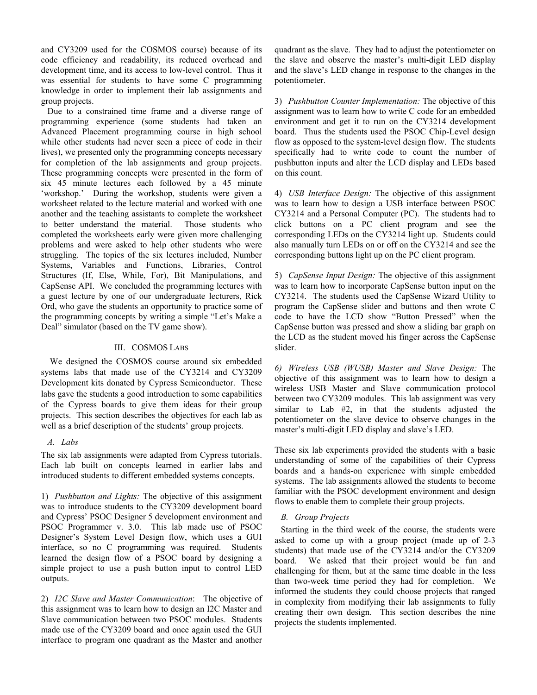and CY3209 used for the COSMOS course) because of its code efficiency and readability, its reduced overhead and development time, and its access to low-level control. Thus it was essential for students to have some C programming knowledge in order to implement their lab assignments and group projects.

Due to a constrained time frame and a diverse range of programming experience (some students had taken an Advanced Placement programming course in high school while other students had never seen a piece of code in their lives), we presented only the programming concepts necessary for completion of the lab assignments and group projects. These programming concepts were presented in the form of six 45 minute lectures each followed by a 45 minute 'workshop.' During the workshop, students were given a worksheet related to the lecture material and worked with one another and the teaching assistants to complete the worksheet to better understand the material. Those students who completed the worksheets early were given more challenging problems and were asked to help other students who were struggling. The topics of the six lectures included, Number Systems, Variables and Functions, Libraries, Control Structures (If, Else, While, For), Bit Manipulations, and CapSense API. We concluded the programming lectures with a guest lecture by one of our undergraduate lecturers, Rick Ord, who gave the students an opportunity to practice some of the programming concepts by writing a simple "Let's Make a Deal" simulator (based on the TV game show).

# III. COSMOS LABS

We designed the COSMOS course around six embedded systems labs that made use of the CY3214 and CY3209 Development kits donated by Cypress Semiconductor. These labs gave the students a good introduction to some capabilities of the Cypress boards to give them ideas for their group projects. This section describes the objectives for each lab as well as a brief description of the students' group projects.

#### *A. Labs*

The six lab assignments were adapted from Cypress tutorials. Each lab built on concepts learned in earlier labs and introduced students to different embedded systems concepts.

1) *Pushbutton and Lights:* The objective of this assignment was to introduce students to the CY3209 development board and Cypress' PSOC Designer 5 development environment and PSOC Programmer v. 3.0. This lab made use of PSOC Designer's System Level Design flow, which uses a GUI interface, so no C programming was required. Students learned the design flow of a PSOC board by designing a simple project to use a push button input to control LED outputs.

2) *I2C Slave and Master Communication*: The objective of this assignment was to learn how to design an I2C Master and Slave communication between two PSOC modules. Students made use of the CY3209 board and once again used the GUI interface to program one quadrant as the Master and another

quadrant as the slave. They had to adjust the potentiometer on the slave and observe the master's multi-digit LED display and the slave's LED change in response to the changes in the potentiometer.

3) *Pushbutton Counter Implementation:* The objective of this assignment was to learn how to write C code for an embedded environment and get it to run on the CY3214 development board. Thus the students used the PSOC Chip-Level design flow as opposed to the system-level design flow. The students specifically had to write code to count the number of pushbutton inputs and alter the LCD display and LEDs based on this count.

4) *USB Interface Design:* The objective of this assignment was to learn how to design a USB interface between PSOC CY3214 and a Personal Computer (PC). The students had to click buttons on a PC client program and see the corresponding LEDs on the CY3214 light up. Students could also manually turn LEDs on or off on the CY3214 and see the corresponding buttons light up on the PC client program.

5) *CapSense Input Design:* The objective of this assignment was to learn how to incorporate CapSense button input on the CY3214. The students used the CapSense Wizard Utility to program the CapSense slider and buttons and then wrote C code to have the LCD show "Button Pressed" when the CapSense button was pressed and show a sliding bar graph on the LCD as the student moved his finger across the CapSense slider.

*6) Wireless USB (WUSB) Master and Slave Design:* The objective of this assignment was to learn how to design a wireless USB Master and Slave communication protocol between two CY3209 modules. This lab assignment was very similar to Lab #2, in that the students adjusted the potentiometer on the slave device to observe changes in the master's multi-digit LED display and slave's LED.

These six lab experiments provided the students with a basic understanding of some of the capabilities of their Cypress boards and a hands-on experience with simple embedded systems. The lab assignments allowed the students to become familiar with the PSOC development environment and design flows to enable them to complete their group projects.

# *B. Group Projects*

Starting in the third week of the course, the students were asked to come up with a group project (made up of 2-3 students) that made use of the CY3214 and/or the CY3209 board. We asked that their project would be fun and challenging for them, but at the same time doable in the less than two-week time period they had for completion. We informed the students they could choose projects that ranged in complexity from modifying their lab assignments to fully creating their own design. This section describes the nine projects the students implemented.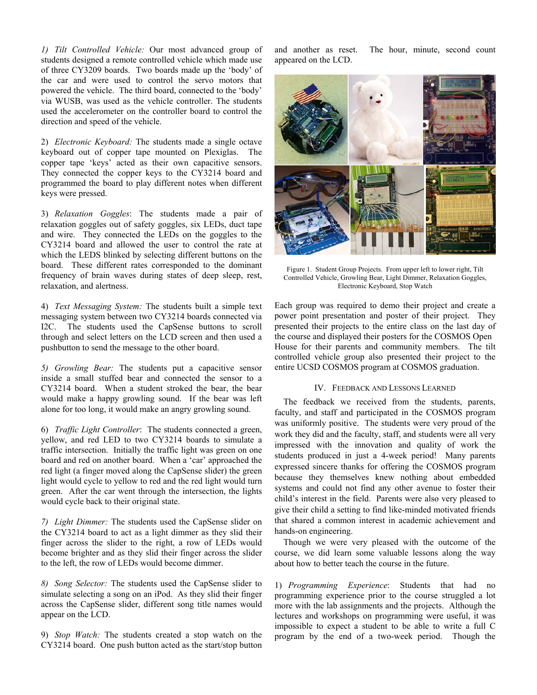*1) Tilt Controlled Vehicle:* Our most advanced group of students designed a remote controlled vehicle which made use of three CY3209 boards. Two boards made up the 'body' of the car and were used to control the servo motors that powered the vehicle. The third board, connected to the 'body' via WUSB, was used as the vehicle controller. The students used the accelerometer on the controller board to control the direction and speed of the vehicle.

2) *Electronic Keyboard:* The students made a single octave keyboard out of copper tape mounted on Plexiglas. The copper tape 'keys' acted as their own capacitive sensors. They connected the copper keys to the CY3214 board and programmed the board to play different notes when different keys were pressed.

3) *Relaxation Goggles*: The students made a pair of relaxation goggles out of safety goggles, six LEDs, duct tape and wire. They connected the LEDs on the goggles to the CY3214 board and allowed the user to control the rate at which the LEDS blinked by selecting different buttons on the board. These different rates corresponded to the dominant frequency of brain waves during states of deep sleep, rest, relaxation, and alertness.

4) *Text Messaging System:* The students built a simple text messaging system between two CY3214 boards connected via I2C. The students used the CapSense buttons to scroll through and select letters on the LCD screen and then used a pushbutton to send the message to the other board.

*5) Growling Bear:* The students put a capacitive sensor inside a small stuffed bear and connected the sensor to a CY3214 board. When a student stroked the bear, the bear would make a happy growling sound. If the bear was left alone for too long, it would make an angry growling sound.

6) *Traffic Light Controller*: The students connected a green, yellow, and red LED to two CY3214 boards to simulate a traffic intersection. Initially the traffic light was green on one board and red on another board. When a 'car' approached the red light (a finger moved along the CapSense slider) the green light would cycle to yellow to red and the red light would turn green. After the car went through the intersection, the lights would cycle back to their original state.

*7) Light Dimmer:* The students used the CapSense slider on the CY3214 board to act as a light dimmer as they slid their finger across the slider to the right, a row of LEDs would become brighter and as they slid their finger across the slider to the left, the row of LEDs would become dimmer.

*8) Song Selector:* The students used the CapSense slider to simulate selecting a song on an iPod. As they slid their finger across the CapSense slider, different song title names would appear on the LCD.

9) *Stop Watch:* The students created a stop watch on the CY3214 board. One push button acted as the start/stop button

and another as reset. The hour, minute, second count appeared on the LCD.



Figure 1. Student Group Projects. From upper left to lower right, Tilt Controlled Vehicle, Growling Bear, Light Dimmer, Relaxation Goggles, Electronic Keyboard, Stop Watch

Each group was required to demo their project and create a power point presentation and poster of their project. They presented their projects to the entire class on the last day of the course and displayed their posters for the COSMOS Open House for their parents and community members. The tilt controlled vehicle group also presented their project to the entire UCSD COSMOS program at COSMOS graduation.

### IV. FEEDBACK AND LESSONS LEARNED

The feedback we received from the students, parents, faculty, and staff and participated in the COSMOS program was uniformly positive. The students were very proud of the work they did and the faculty, staff, and students were all very impressed with the innovation and quality of work the students produced in just a 4-week period! Many parents expressed sincere thanks for offering the COSMOS program because they themselves knew nothing about embedded systems and could not find any other avenue to foster their child's interest in the field. Parents were also very pleased to give their child a setting to find like-minded motivated friends that shared a common interest in academic achievement and hands-on engineering.

Though we were very pleased with the outcome of the course, we did learn some valuable lessons along the way about how to better teach the course in the future.

1) *Programming Experience*: Students that had no programming experience prior to the course struggled a lot more with the lab assignments and the projects. Although the lectures and workshops on programming were useful, it was impossible to expect a student to be able to write a full C program by the end of a two-week period. Though the